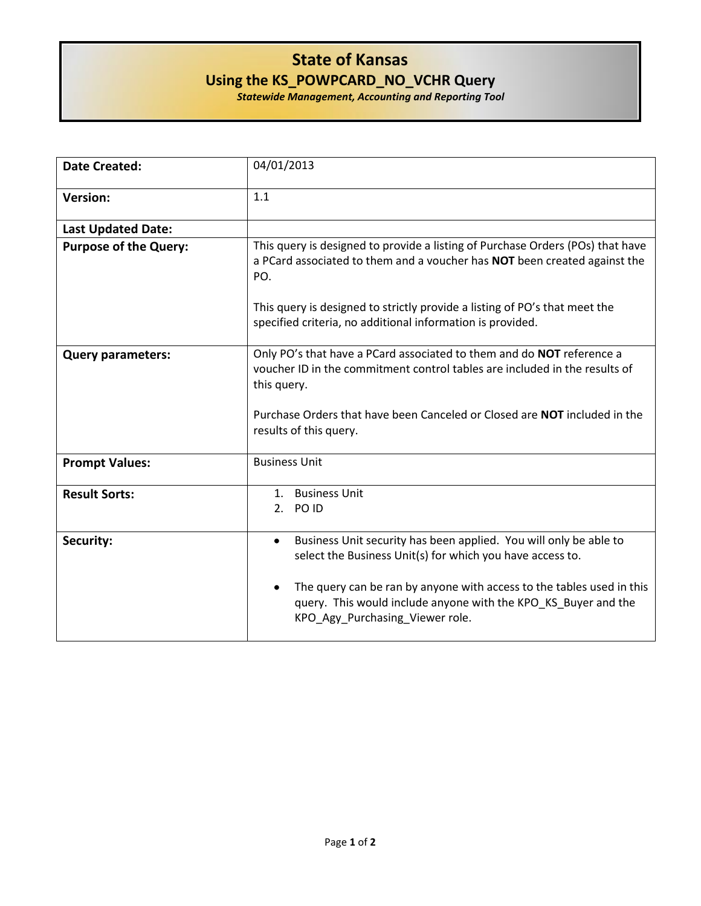## **State of Kansas Using the KS\_POWPCARD\_NO\_VCHR Query**

*Statewide Management, Accounting and Reporting Tool*

| <b>Date Created:</b>         | 04/01/2013                                                                                                                                                                                                                                                                                                     |
|------------------------------|----------------------------------------------------------------------------------------------------------------------------------------------------------------------------------------------------------------------------------------------------------------------------------------------------------------|
| <b>Version:</b>              | 1.1                                                                                                                                                                                                                                                                                                            |
| <b>Last Updated Date:</b>    |                                                                                                                                                                                                                                                                                                                |
| <b>Purpose of the Query:</b> | This query is designed to provide a listing of Purchase Orders (POs) that have<br>a PCard associated to them and a voucher has NOT been created against the<br>PO.<br>This query is designed to strictly provide a listing of PO's that meet the<br>specified criteria, no additional information is provided. |
|                              |                                                                                                                                                                                                                                                                                                                |
| <b>Query parameters:</b>     | Only PO's that have a PCard associated to them and do NOT reference a<br>voucher ID in the commitment control tables are included in the results of<br>this query.<br>Purchase Orders that have been Canceled or Closed are <b>NOT</b> included in the<br>results of this query.                               |
|                              |                                                                                                                                                                                                                                                                                                                |
| <b>Prompt Values:</b>        | <b>Business Unit</b>                                                                                                                                                                                                                                                                                           |
| <b>Result Sorts:</b>         | 1. Business Unit<br>2. POID                                                                                                                                                                                                                                                                                    |
| Security:                    | Business Unit security has been applied. You will only be able to<br>$\bullet$<br>select the Business Unit(s) for which you have access to.<br>The query can be ran by anyone with access to the tables used in this<br>$\bullet$<br>query. This would include anyone with the KPO_KS_Buyer and the            |
|                              | KPO_Agy_Purchasing_Viewer role.                                                                                                                                                                                                                                                                                |